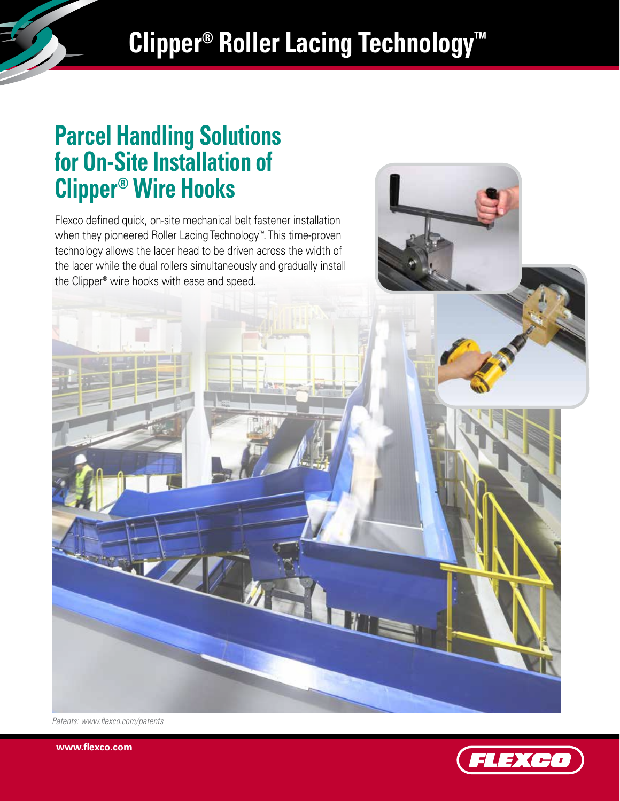## **Clipper® Roller Lacing Technology™**

# **Parcel Handling Solutions for On-Site Installation of Clipper® Wire Hooks**

Flexco defined quick, on-site mechanical belt fastener installation when they pioneered Roller Lacing Technology™. This time-proven technology allows the lacer head to be driven across the width of the lacer while the dual rollers simultaneously and gradually install the Clipper® wire hooks with ease and speed.

*Patents: www.flexco.com/patents*

**www.flexco.com**

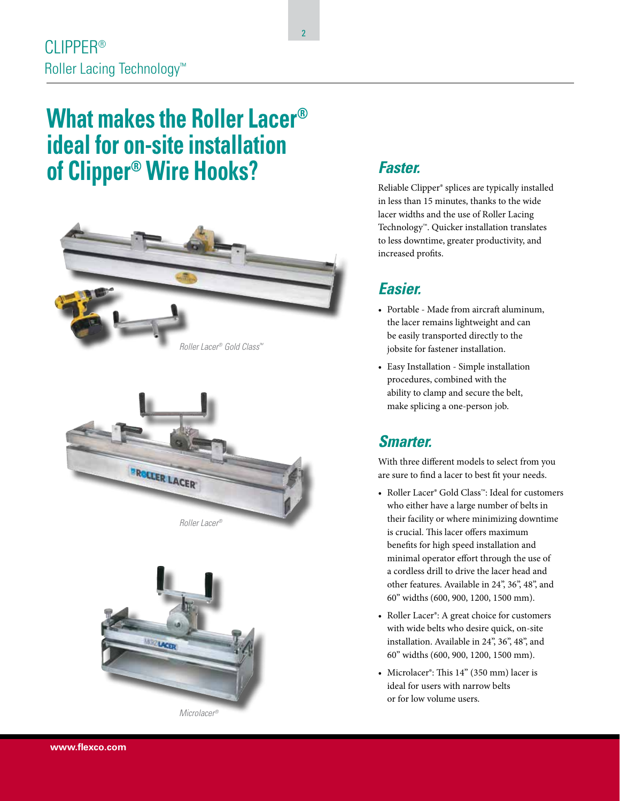### **What makes the Roller Lacer® ideal for on-site installation of Clipper® Wire Hooks?** *Faster.*







*Microlacer®*

Reliable Clipper® splices are typically installed in less than 15 minutes, thanks to the wide lacer widths and the use of Roller Lacing Technology™. Quicker installation translates to less downtime, greater productivity, and increased profits.

#### *Easier.*

- Portable Made from aircraft aluminum, the lacer remains lightweight and can be easily transported directly to the jobsite for fastener installation.
- Easy Installation Simple installation procedures, combined with the ability to clamp and secure the belt, make splicing a one-person job.

#### *Smarter.*

With three different models to select from you are sure to find a lacer to best fit your needs.

- Roller Lacer® Gold Class™: Ideal for customers who either have a large number of belts in their facility or where minimizing downtime is crucial. This lacer offers maximum benefits for high speed installation and minimal operator effort through the use of a cordless drill to drive the lacer head and other features. Available in 24", 36", 48", and 60" widths (600, 900, 1200, 1500 mm).
- Roller Lacer®: A great choice for customers with wide belts who desire quick, on-site installation. Available in 24", 36", 48", and 60" widths (600, 900, 1200, 1500 mm).
- Microlacer®: This 14" (350 mm) lacer is ideal for users with narrow belts or for low volume users.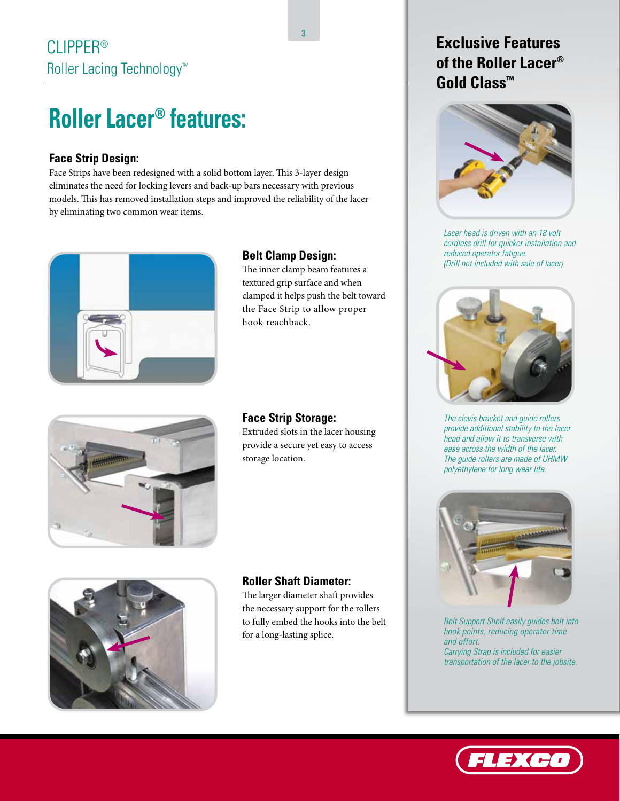### **Roller Lacer® features:**

#### **Face Strip Design:**

Face Strips have been redesigned with a solid bottom layer. This 3-layer design eliminates the need for locking levers and back-up bars necessary with previous models. This has removed installation steps and improved the reliability of the lacer by eliminating two common wear items.



#### **Belt Clamp Design:**

The inner clamp beam features a textured grip surface and when clamped it helps push the belt toward the Face Strip to allow proper hook reachback.



#### **Face Strip Storage:**

Extruded slots in the lacer housing provide a secure yet easy to access storage location.



#### **Roller Shaft Diameter:**

The larger diameter shaft provides the necessary support for the rollers to fully embed the hooks into the belt for a long-lasting splice.

### **Exclusive Features of the Roller Lacer® Gold Class™**



*Lacer head is driven with an 18 volt cordless drill for quicker installation and reduced operator fatigue. (Drill not included with sale of lacer)*



*The clevis bracket and guide rollers provide additional stability to the lacer head and allow it to transverse with ease across the width of the lacer. The guide rollers are made of UHMW polyethylene for long wear life.*



*Belt Support Shelf easily guides belt into hook points, reducing operator time and effort. Carrying Strap is included for easier transportation of the lacer to the jobsite.*



3